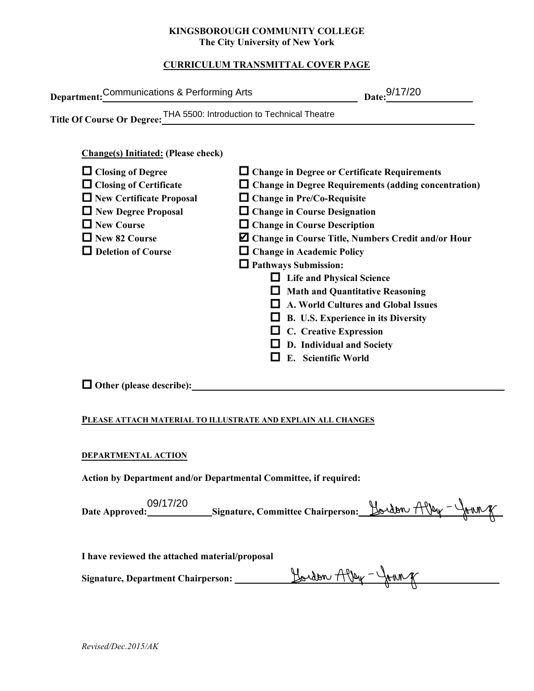#### **KINGSBOROUGH COMMUNITY COLLEGE The City University of New York**

## **CURRICULUM TRANSMITTAL COVER PAGE**

| Department: Communications & Performing Arts                                                                                                                                                                                                                     | Date: 9/17/20                                                                                                                                                                                                                                                                                                                                                                                                                                                                                                                                                                                                                                         |
|------------------------------------------------------------------------------------------------------------------------------------------------------------------------------------------------------------------------------------------------------------------|-------------------------------------------------------------------------------------------------------------------------------------------------------------------------------------------------------------------------------------------------------------------------------------------------------------------------------------------------------------------------------------------------------------------------------------------------------------------------------------------------------------------------------------------------------------------------------------------------------------------------------------------------------|
| Title Of Course Or Degree: THA 5500: Introduction to Technical Theatre                                                                                                                                                                                           |                                                                                                                                                                                                                                                                                                                                                                                                                                                                                                                                                                                                                                                       |
| <b>Change(s) Initiated: (Please check)</b><br>$\Box$ Closing of Degree<br>$\Box$ Closing of Certificate<br>New Certificate Proposal<br>New Degree Proposal<br>$\Box$ New Course<br>New 82 Course<br>$\Box$ Deletion of Course<br>$\Box$ Other (please describe): | $\Box$ Change in Degree or Certificate Requirements<br>$\Box$ Change in Degree Requirements (adding concentration)<br>$\Box$ Change in Pre/Co-Requisite<br>$\Box$ Change in Course Designation<br>$\Box$ Change in Course Description<br>Z Change in Course Title, Numbers Credit and/or Hour<br>$\Box$ Change in Academic Policy<br><b>Q</b> Pathways Submission:<br>□ Life and Physical Science<br>$\Box$ Math and Quantitative Reasoning<br>$\Box$ A. World Cultures and Global Issues<br><b><math>\Box</math></b> B. U.S. Experience in its Diversity<br>$\Box$ C. Creative Expression<br>$\Box$ D. Individual and Society<br>E. Scientific World |
|                                                                                                                                                                                                                                                                  |                                                                                                                                                                                                                                                                                                                                                                                                                                                                                                                                                                                                                                                       |
| PLEASE ATTACH MATERIAL TO ILLUSTRATE AND EXPLAIN ALL CHANGES                                                                                                                                                                                                     |                                                                                                                                                                                                                                                                                                                                                                                                                                                                                                                                                                                                                                                       |
| DEPARTMENTAL ACTION                                                                                                                                                                                                                                              |                                                                                                                                                                                                                                                                                                                                                                                                                                                                                                                                                                                                                                                       |
| Action by Department and/or Departmental Committee, if required:                                                                                                                                                                                                 |                                                                                                                                                                                                                                                                                                                                                                                                                                                                                                                                                                                                                                                       |
| 09/17/20                                                                                                                                                                                                                                                         | $H_{\text{other}}$ $A\Omega_{\text{max}} - \Omega_{\text{max}}$                                                                                                                                                                                                                                                                                                                                                                                                                                                                                                                                                                                       |

#### **DEPARTMENTAL ACTION**

| 09/17/20       | Signature, Committee Chairperson: $\frac{H}{L}$ Alley - $\frac{H}{L}$ My |  |
|----------------|--------------------------------------------------------------------------|--|
| Date Approved: |                                                                          |  |
|                |                                                                          |  |

**I have reviewed the attached material/proposal**

**Signature, Department Chairperson: \_\_\_\_\_\_\_\_\_\_\_\_\_\_\_\_\_\_\_\_\_\_\_\_\_\_\_\_\_\_\_\_\_\_\_\_\_\_\_\_\_\_\_\_\_\_\_\_\_\_\_\_\_\_\_**